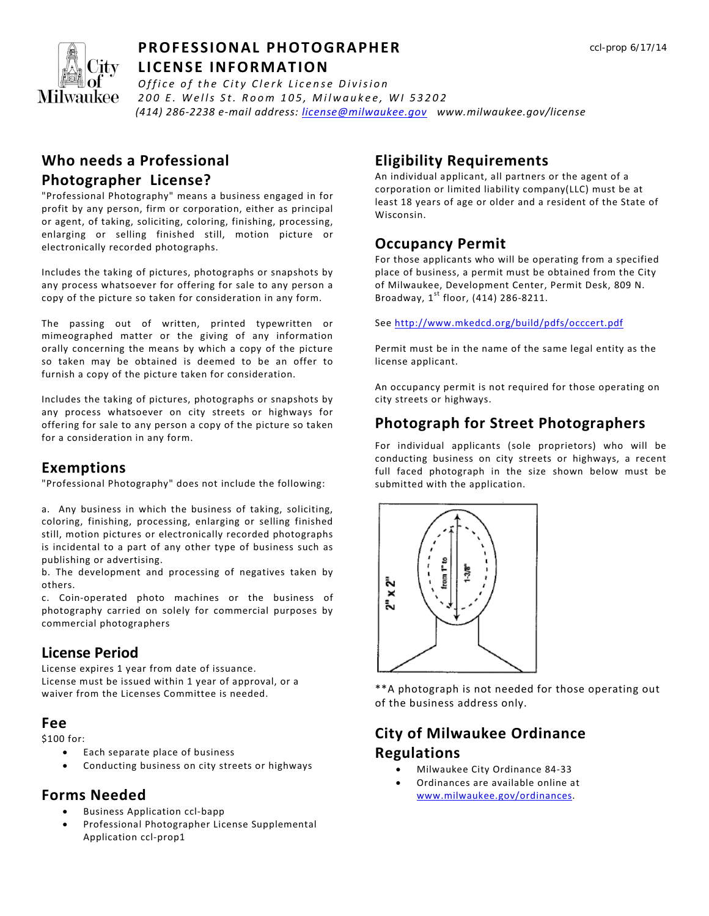

#### **PROFESSIONAL PHOTOGRAPHER LICENSE INFORMATION**

 *(414) 286-2238 e-mail address: license@milwaukee.gov www.milwaukee.gov/license Office of the City Clerk License Division 200 E. Wells St. Room 105, Milwaukee, WI 53202*

#### **Who needs a Professional**

#### **Photographer License?**

"Professional Photography" means a business engaged in for profit by any person, firm or corporation, either as principal or agent, of taking, soliciting, coloring, finishing, processing, enlarging or selling finished still, motion picture or electronically recorded photographs.

Includes the taking of pictures, photographs or snapshots by any process whatsoever for offering for sale to any person a copy of the picture so taken for consideration in any form.

The passing out of written, printed typewritten or mimeographed matter or the giving of any information orally concerning the means by which a copy of the picture so taken may be obtained is deemed to be an offer to furnish a copy of the picture taken for consideration.

Includes the taking of pictures, photographs or snapshots by any process whatsoever on city streets or highways for offering for sale to any person a copy of the picture so taken for a consideration in any form.

### **Exemptions**

"Professional Photography" does not include the following:

a. Any business in which the business of taking, soliciting, coloring, finishing, processing, enlarging or selling finished still, motion pictures or electronically recorded photographs is incidental to a part of any other type of business such as publishing or advertising.

b. The development and processing of negatives taken by others.

c. Coin-operated photo machines or the business of photography carried on solely for commercial purposes by commercial photographers

### **License Period**

License expires 1 year from date of issuance. License must be issued within 1 year of approval, or a waiver from the Licenses Committee is needed.

#### **Fee**

\$100 for:

- Each separate place of business
- Conducting business on city streets or highways

### **Forms Needed**

- Business Application ccl-bapp
- Professional Photographer License Supplemental Application ccl-prop1

## **Eligibility Requirements**

An individual applicant, all partners or the agent of a corporation or limited liability company(LLC) must be at least 18 years of age or older and a resident of the State of Wisconsin.

### **Occupancy Permit**

For those applicants who will be operating from a specified place of business, a permit must be obtained from the City of Milwaukee, Development Center, Permit Desk, 809 N. Broadway,  $1^{st}$  floor, (414) 286-8211.

See http://www.mkedcd.org/build/pdfs/occcert.pdf

Permit must be in the name of the same legal entity as the license applicant.

An occupancy permit is not required for those operating on city streets or highways.

## **Photograph for Street Photographers**

For individual applicants (sole proprietors) who will be conducting business on city streets or highways, a recent full faced photograph in the size shown below must be submitted with the application.



\*\*A photograph is not needed for those operating out of the business address only.

# **City of Milwaukee Ordinance Regulations**

- Milwaukee City Ordinance 84-33
- Ordinances are available online at www.milwaukee.gov/ordinances.